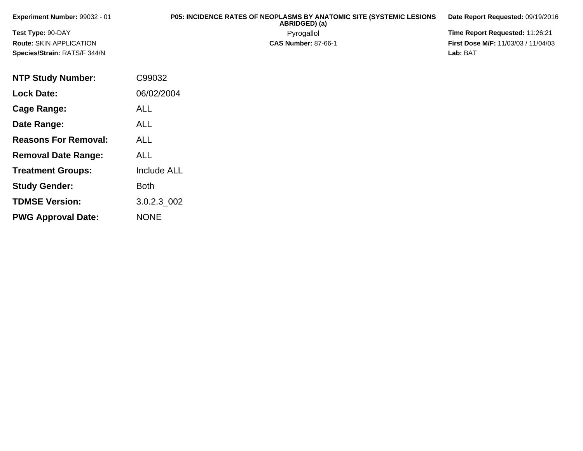| Experiment Number: 99032 - 01  | <b>P05: INCIDENCE RATES OF NEOPLASMS BY ANATOMIC SITE (SYSTEMIC LESIONS)</b><br>ABRIDGED) (a) | Date Report Requested: 09/19/2016          |
|--------------------------------|-----------------------------------------------------------------------------------------------|--------------------------------------------|
| Test Type: 90-DAY              | Pyrogallol                                                                                    | <b>Time Report Requested: 11:26:21</b>     |
| <b>Route: SKIN APPLICATION</b> | <b>CAS Number: 87-66-1</b>                                                                    | <b>First Dose M/F: 11/03/03 / 11/04/03</b> |
| Species/Strain: RATS/F 344/N   |                                                                                               | Lab: BAT                                   |

| <b>NTP Study Number:</b>    | C99032             |
|-----------------------------|--------------------|
| <b>Lock Date:</b>           | 06/02/2004         |
| Cage Range:                 | ALL                |
| Date Range:                 | ALL                |
| <b>Reasons For Removal:</b> | <b>ALL</b>         |
| <b>Removal Date Range:</b>  | ALL                |
| <b>Treatment Groups:</b>    | <b>Include ALL</b> |
| <b>Study Gender:</b>        | <b>Both</b>        |
| <b>TDMSE Version:</b>       | 3.0.2.3 002        |
| <b>PWG Approval Date:</b>   | <b>NONE</b>        |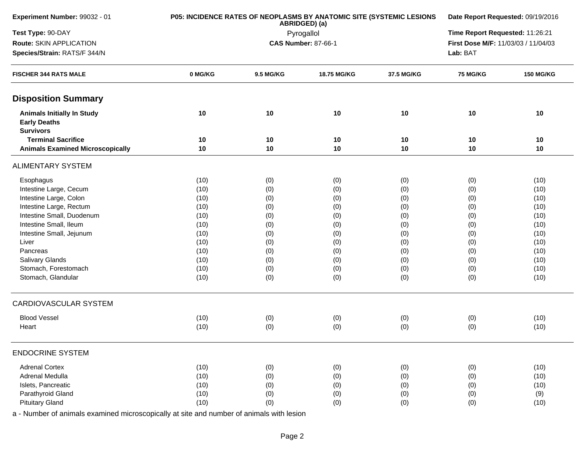| Experiment Number: 99032 - 01                                                |         | P05: INCIDENCE RATES OF NEOPLASMS BY ANATOMIC SITE (SYSTEMIC LESIONS<br>ABRIDGED) (a) | Date Report Requested: 09/19/2016<br>Time Report Requested: 11:26:21 |            |                                     |                  |
|------------------------------------------------------------------------------|---------|---------------------------------------------------------------------------------------|----------------------------------------------------------------------|------------|-------------------------------------|------------------|
| Test Type: 90-DAY                                                            |         | Pyrogallol                                                                            |                                                                      |            |                                     |                  |
| Route: SKIN APPLICATION                                                      |         |                                                                                       | <b>CAS Number: 87-66-1</b>                                           |            | First Dose M/F: 11/03/03 / 11/04/03 |                  |
| Species/Strain: RATS/F 344/N                                                 |         |                                                                                       |                                                                      |            | Lab: BAT                            |                  |
| <b>FISCHER 344 RATS MALE</b>                                                 | 0 MG/KG | 9.5 MG/KG                                                                             | 18.75 MG/KG                                                          | 37.5 MG/KG | <b>75 MG/KG</b>                     | <b>150 MG/KG</b> |
| <b>Disposition Summary</b>                                                   |         |                                                                                       |                                                                      |            |                                     |                  |
| <b>Animals Initially In Study</b><br><b>Early Deaths</b><br><b>Survivors</b> | 10      | 10                                                                                    | 10                                                                   | 10         | 10                                  | 10               |
| <b>Terminal Sacrifice</b>                                                    | 10      | 10                                                                                    | 10                                                                   | 10         | 10                                  | 10               |
| <b>Animals Examined Microscopically</b>                                      | 10      | 10                                                                                    | 10                                                                   | 10         | 10                                  | 10               |
| <b>ALIMENTARY SYSTEM</b>                                                     |         |                                                                                       |                                                                      |            |                                     |                  |
| Esophagus                                                                    | (10)    | (0)                                                                                   | (0)                                                                  | (0)        | (0)                                 | (10)             |
| Intestine Large, Cecum                                                       | (10)    | (0)                                                                                   | (0)                                                                  | (0)        | (0)                                 | (10)             |
| Intestine Large, Colon                                                       | (10)    | (0)                                                                                   | (0)                                                                  | (0)        | (0)                                 | (10)             |
| Intestine Large, Rectum                                                      | (10)    | (0)                                                                                   | (0)                                                                  | (0)        | (0)                                 | (10)             |
| Intestine Small, Duodenum                                                    | (10)    | (0)                                                                                   | (0)                                                                  | (0)        | (0)                                 | (10)             |
| Intestine Small, Ileum                                                       | (10)    | (0)                                                                                   | (0)                                                                  | (0)        | (0)                                 | (10)             |
| Intestine Small, Jejunum                                                     | (10)    | (0)                                                                                   | (0)                                                                  | (0)        | (0)                                 | (10)             |
| Liver                                                                        | (10)    | (0)                                                                                   | (0)                                                                  | (0)        | (0)                                 | (10)             |
| Pancreas                                                                     | (10)    | (0)                                                                                   | (0)                                                                  | (0)        | (0)                                 | (10)             |
| Salivary Glands                                                              | (10)    | (0)                                                                                   | (0)                                                                  | (0)        | (0)                                 | (10)             |
| Stomach, Forestomach                                                         | (10)    | (0)                                                                                   | (0)                                                                  | (0)        | (0)                                 | (10)             |
| Stomach, Glandular                                                           | (10)    | (0)                                                                                   | (0)                                                                  | (0)        | (0)                                 | (10)             |
| <b>CARDIOVASCULAR SYSTEM</b>                                                 |         |                                                                                       |                                                                      |            |                                     |                  |
| <b>Blood Vessel</b>                                                          | (10)    | (0)                                                                                   | (0)                                                                  | (0)        | (0)                                 | (10)             |
| Heart                                                                        | (10)    | (0)                                                                                   | (0)                                                                  | (0)        | (0)                                 | (10)             |
| <b>ENDOCRINE SYSTEM</b>                                                      |         |                                                                                       |                                                                      |            |                                     |                  |
| <b>Adrenal Cortex</b>                                                        | (10)    | (0)                                                                                   | (0)                                                                  | (0)        | (0)                                 | (10)             |
| Adrenal Medulla                                                              | (10)    | (0)                                                                                   | (0)                                                                  | (0)        | (0)                                 | (10)             |
| Islets, Pancreatic                                                           | (10)    | (0)                                                                                   | (0)                                                                  | (0)        | (0)                                 | (10)             |
| Parathyroid Gland                                                            | (10)    | (0)                                                                                   | (0)                                                                  | (0)        | (0)                                 | (9)              |
| <b>Pituitary Gland</b>                                                       | (10)    | (0)                                                                                   | (0)                                                                  | (0)        | (0)                                 | (10)             |
|                                                                              |         |                                                                                       |                                                                      |            |                                     |                  |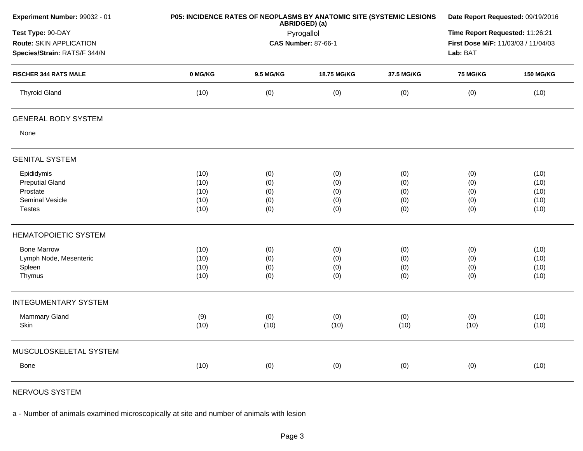| Experiment Number: 99032 - 01 | P05: INCIDENCE RATES OF NEOPLASMS BY ANATOMIC SITE (SYSTEMIC LESIONS | Date Report Requested: 09/19/2016 |                            |            |                                                 |                  |  |
|-------------------------------|----------------------------------------------------------------------|-----------------------------------|----------------------------|------------|-------------------------------------------------|------------------|--|
| Test Type: 90-DAY             |                                                                      |                                   | Pyrogallol                 |            | Time Report Requested: 11:26:21                 |                  |  |
| Route: SKIN APPLICATION       |                                                                      |                                   | <b>CAS Number: 87-66-1</b> |            | First Dose M/F: 11/03/03 / 11/04/03<br>Lab: BAT |                  |  |
| Species/Strain: RATS/F 344/N  |                                                                      |                                   |                            |            |                                                 |                  |  |
| <b>FISCHER 344 RATS MALE</b>  | 0 MG/KG                                                              | 9.5 MG/KG                         | 18.75 MG/KG                | 37.5 MG/KG | 75 MG/KG                                        | <b>150 MG/KG</b> |  |
| <b>Thyroid Gland</b>          | (10)                                                                 | (0)                               | (0)                        | (0)        | (0)                                             | (10)             |  |
| <b>GENERAL BODY SYSTEM</b>    |                                                                      |                                   |                            |            |                                                 |                  |  |
| None                          |                                                                      |                                   |                            |            |                                                 |                  |  |
| <b>GENITAL SYSTEM</b>         |                                                                      |                                   |                            |            |                                                 |                  |  |
| Epididymis                    | (10)                                                                 | (0)                               | (0)                        | (0)        | (0)                                             | (10)             |  |
| <b>Preputial Gland</b>        | (10)                                                                 | (0)                               | (0)                        | (0)        | (0)                                             | (10)             |  |
| Prostate                      | (10)                                                                 | (0)                               | (0)                        | (0)        | (0)                                             | (10)             |  |
| Seminal Vesicle               | (10)                                                                 | (0)                               | (0)                        | (0)        | (0)                                             | (10)             |  |
| <b>Testes</b>                 | (10)                                                                 | (0)                               | (0)                        | (0)        | (0)                                             | (10)             |  |
| <b>HEMATOPOIETIC SYSTEM</b>   |                                                                      |                                   |                            |            |                                                 |                  |  |
| <b>Bone Marrow</b>            | (10)                                                                 | (0)                               | (0)                        | (0)        | (0)                                             | (10)             |  |
| Lymph Node, Mesenteric        | (10)                                                                 | (0)                               | (0)                        | (0)        | (0)                                             | (10)             |  |
| Spleen                        | (10)                                                                 | (0)                               | (0)                        | (0)        | (0)                                             | (10)             |  |
| Thymus                        | (10)                                                                 | (0)                               | (0)                        | (0)        | (0)                                             | (10)             |  |
| <b>INTEGUMENTARY SYSTEM</b>   |                                                                      |                                   |                            |            |                                                 |                  |  |
| <b>Mammary Gland</b>          | (9)                                                                  | (0)                               | (0)                        | (0)        | (0)                                             | (10)             |  |
| Skin                          | (10)                                                                 | (10)                              | (10)                       | (10)       | (10)                                            | (10)             |  |
| MUSCULOSKELETAL SYSTEM        |                                                                      |                                   |                            |            |                                                 |                  |  |
| <b>Bone</b>                   | (10)                                                                 | (0)                               | (0)                        | (0)        | (0)                                             | (10)             |  |
|                               |                                                                      |                                   |                            |            |                                                 |                  |  |

NERVOUS SYSTEM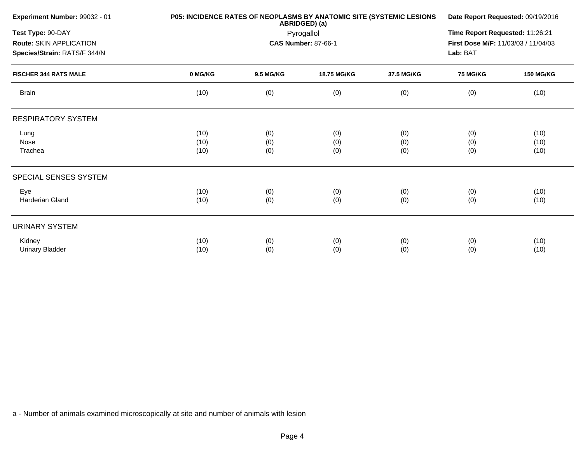| Experiment Number: 99032 - 01 |         | P05: INCIDENCE RATES OF NEOPLASMS BY ANATOMIC SITE (SYSTEMIC LESIONS<br>ABRIDGED) (a)<br>Pyrogallol |                            |            |                                     |                  |
|-------------------------------|---------|-----------------------------------------------------------------------------------------------------|----------------------------|------------|-------------------------------------|------------------|
| Test Type: 90-DAY             |         |                                                                                                     |                            |            |                                     |                  |
| Route: SKIN APPLICATION       |         |                                                                                                     | <b>CAS Number: 87-66-1</b> |            | First Dose M/F: 11/03/03 / 11/04/03 |                  |
| Species/Strain: RATS/F 344/N  |         |                                                                                                     |                            |            | Lab: BAT                            |                  |
| <b>FISCHER 344 RATS MALE</b>  | 0 MG/KG | 9.5 MG/KG                                                                                           | 18.75 MG/KG                | 37.5 MG/KG | <b>75 MG/KG</b>                     | <b>150 MG/KG</b> |
| <b>Brain</b>                  | (10)    | (0)                                                                                                 | (0)                        | (0)        | (0)                                 | (10)             |
| <b>RESPIRATORY SYSTEM</b>     |         |                                                                                                     |                            |            |                                     |                  |
| Lung                          | (10)    | (0)                                                                                                 | (0)                        | (0)        | (0)                                 | (10)             |
| Nose                          | (10)    | (0)                                                                                                 | (0)                        | (0)        | (0)                                 | (10)             |
| Trachea                       | (10)    | (0)                                                                                                 | (0)                        | (0)        | (0)                                 | (10)             |
| SPECIAL SENSES SYSTEM         |         |                                                                                                     |                            |            |                                     |                  |
| Eye                           | (10)    | (0)                                                                                                 | (0)                        | (0)        | (0)                                 | (10)             |
| Harderian Gland               | (10)    | (0)                                                                                                 | (0)                        | (0)        | (0)                                 | (10)             |
| <b>URINARY SYSTEM</b>         |         |                                                                                                     |                            |            |                                     |                  |
| Kidney                        | (10)    | (0)                                                                                                 | (0)                        | (0)        | (0)                                 | (10)             |
| <b>Urinary Bladder</b>        | (10)    | (0)                                                                                                 | (0)                        | (0)        | (0)                                 | (10)             |
|                               |         |                                                                                                     |                            |            |                                     |                  |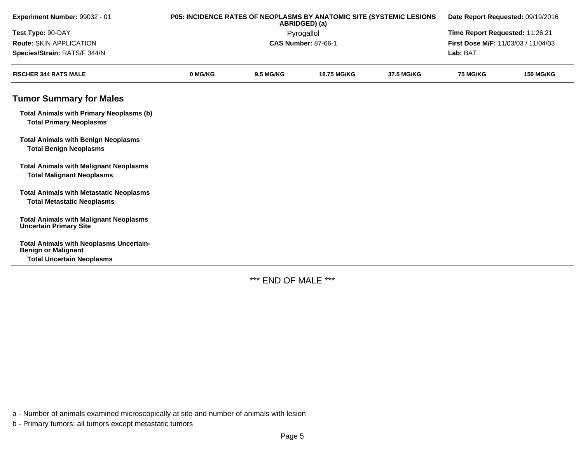| Experiment Number: 99032 - 01                                                       |         | P05: INCIDENCE RATES OF NEOPLASMS BY ANATOMIC SITE (SYSTEMIC LESIONS<br>ABRIDGED) (a) | Date Report Requested: 09/19/2016 |            |                                     |                  |
|-------------------------------------------------------------------------------------|---------|---------------------------------------------------------------------------------------|-----------------------------------|------------|-------------------------------------|------------------|
| Test Type: 90-DAY                                                                   |         | Pyrogallol                                                                            | Time Report Requested: 11:26:21   |            |                                     |                  |
| <b>Route: SKIN APPLICATION</b>                                                      |         |                                                                                       | <b>CAS Number: 87-66-1</b>        |            | First Dose M/F: 11/03/03 / 11/04/03 |                  |
| Species/Strain: RATS/F 344/N                                                        |         |                                                                                       |                                   |            | Lab: BAT                            |                  |
| <b>FISCHER 344 RATS MALE</b>                                                        | 0 MG/KG | <b>9.5 MG/KG</b>                                                                      | <b>18.75 MG/KG</b>                | 37.5 MG/KG | <b>75 MG/KG</b>                     | <b>150 MG/KG</b> |
| <b>Tumor Summary for Males</b>                                                      |         |                                                                                       |                                   |            |                                     |                  |
| <b>Total Animals with Primary Neoplasms (b)</b><br><b>Total Primary Neoplasms</b>   |         |                                                                                       |                                   |            |                                     |                  |
| <b>Total Animals with Benign Neoplasms</b><br><b>Total Benign Neoplasms</b>         |         |                                                                                       |                                   |            |                                     |                  |
| <b>Total Animals with Malignant Neoplasms</b><br><b>Total Malignant Neoplasms</b>   |         |                                                                                       |                                   |            |                                     |                  |
| <b>Total Animals with Metastatic Neoplasms</b><br><b>Total Metastatic Neoplasms</b> |         |                                                                                       |                                   |            |                                     |                  |
| <b>Total Animals with Malignant Neoplasms</b><br><b>Uncertain Primary Site</b>      |         |                                                                                       |                                   |            |                                     |                  |
| <b>Total Animals with Neoplasms Uncertain-</b><br><b>Benign or Malignant</b>        |         |                                                                                       |                                   |            |                                     |                  |
| <b>Total Uncertain Neoplasms</b>                                                    |         |                                                                                       |                                   |            |                                     |                  |

\*\*\* END OF MALE \*\*\*

a - Number of animals examined microscopically at site and number of animals with lesion

b - Primary tumors: all tumors except metastatic tumors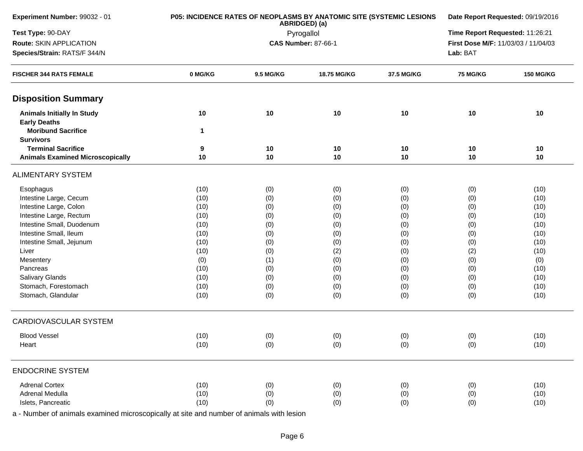| Experiment Number: 99032 - 01                            | P05: INCIDENCE RATES OF NEOPLASMS BY ANATOMIC SITE (SYSTEMIC LESIONS | Date Report Requested: 09/19/2016 |                                 |            |                                     |                  |
|----------------------------------------------------------|----------------------------------------------------------------------|-----------------------------------|---------------------------------|------------|-------------------------------------|------------------|
| Test Type: 90-DAY                                        |                                                                      | ABRIDGED) (a)<br>Pyrogallol       | Time Report Requested: 11:26:21 |            |                                     |                  |
| Route: SKIN APPLICATION                                  |                                                                      |                                   | <b>CAS Number: 87-66-1</b>      |            | First Dose M/F: 11/03/03 / 11/04/03 |                  |
| Species/Strain: RATS/F 344/N                             |                                                                      |                                   |                                 | Lab: BAT   |                                     |                  |
| <b>FISCHER 344 RATS FEMALE</b>                           | 0 MG/KG                                                              | 9.5 MG/KG                         | 18.75 MG/KG                     | 37.5 MG/KG | <b>75 MG/KG</b>                     | <b>150 MG/KG</b> |
| <b>Disposition Summary</b>                               |                                                                      |                                   |                                 |            |                                     |                  |
| <b>Animals Initially In Study</b><br><b>Early Deaths</b> | 10                                                                   | 10                                | 10                              | 10         | 10                                  | 10               |
| <b>Moribund Sacrifice</b><br><b>Survivors</b>            | $\mathbf{1}$                                                         |                                   |                                 |            |                                     |                  |
| <b>Terminal Sacrifice</b>                                | 9                                                                    | 10                                | 10                              | 10         | 10                                  | 10               |
| <b>Animals Examined Microscopically</b>                  | 10                                                                   | 10                                | 10                              | 10         | 10                                  | 10               |
| <b>ALIMENTARY SYSTEM</b>                                 |                                                                      |                                   |                                 |            |                                     |                  |
| Esophagus                                                | (10)                                                                 | (0)                               | (0)                             | (0)        | (0)                                 | (10)             |
| Intestine Large, Cecum                                   | (10)                                                                 | (0)                               | (0)                             | (0)        | (0)                                 | (10)             |
| Intestine Large, Colon                                   | (10)                                                                 | (0)                               | (0)                             | (0)        | (0)                                 | (10)             |
| Intestine Large, Rectum                                  | (10)                                                                 | (0)                               | (0)                             | (0)        | (0)                                 | (10)             |
| Intestine Small, Duodenum                                | (10)                                                                 | (0)                               | (0)                             | (0)        | (0)                                 | (10)             |
| Intestine Small, Ileum                                   | (10)                                                                 | (0)                               | (0)                             | (0)        | (0)                                 | (10)             |
| Intestine Small, Jejunum                                 | (10)                                                                 | (0)                               | (0)                             | (0)        | (0)                                 | (10)             |
| Liver                                                    | (10)                                                                 | (0)                               | (2)                             | (0)        | (2)                                 | (10)             |
| Mesentery                                                | (0)                                                                  | (1)                               | (0)                             | (0)        | (0)                                 | (0)              |
| Pancreas                                                 | (10)                                                                 | (0)                               | (0)                             | (0)        | (0)                                 | (10)             |
| Salivary Glands                                          | (10)                                                                 | (0)                               | (0)                             | (0)        | (0)                                 | (10)             |
| Stomach, Forestomach                                     | (10)                                                                 | (0)                               | (0)                             | (0)        | (0)                                 | (10)             |
| Stomach, Glandular                                       | (10)                                                                 | (0)                               | (0)                             | (0)        | (0)                                 | (10)             |
| CARDIOVASCULAR SYSTEM                                    |                                                                      |                                   |                                 |            |                                     |                  |
| <b>Blood Vessel</b>                                      | (10)                                                                 | (0)                               | (0)                             | (0)        | (0)                                 | (10)             |
| Heart                                                    | (10)                                                                 | (0)                               | (0)                             | (0)        | (0)                                 | (10)             |
| <b>ENDOCRINE SYSTEM</b>                                  |                                                                      |                                   |                                 |            |                                     |                  |
| <b>Adrenal Cortex</b>                                    | (10)                                                                 | (0)                               | (0)                             | (0)        | (0)                                 | (10)             |
| Adrenal Medulla                                          | (10)                                                                 | (0)                               | (0)                             | (0)        | (0)                                 | (10)             |
| Islets, Pancreatic                                       | (10)                                                                 | (0)                               | (0)                             | (0)        | (0)                                 | (10)             |
|                                                          |                                                                      |                                   |                                 |            |                                     |                  |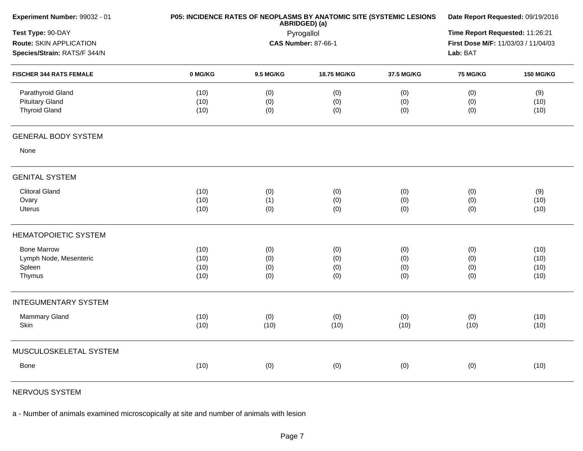| Experiment Number: 99032 - 01                                                | P05: INCIDENCE RATES OF NEOPLASMS BY ANATOMIC SITE (SYSTEMIC LESIONS | Date Report Requested: 09/19/2016                         |                   |                   |                   |                     |
|------------------------------------------------------------------------------|----------------------------------------------------------------------|-----------------------------------------------------------|-------------------|-------------------|-------------------|---------------------|
| Test Type: 90-DAY<br>Route: SKIN APPLICATION<br>Species/Strain: RATS/F 344/N |                                                                      | ABRIDGED) (a)<br>Pyrogallol<br><b>CAS Number: 87-66-1</b> |                   |                   |                   |                     |
| <b>FISCHER 344 RATS FEMALE</b>                                               | 0 MG/KG                                                              | 9.5 MG/KG                                                 | 18.75 MG/KG       | 37.5 MG/KG        | <b>75 MG/KG</b>   | <b>150 MG/KG</b>    |
| Parathyroid Gland<br><b>Pituitary Gland</b><br><b>Thyroid Gland</b>          | (10)<br>(10)<br>(10)                                                 | (0)<br>(0)<br>(0)                                         | (0)<br>(0)<br>(0) | (0)<br>(0)<br>(0) | (0)<br>(0)<br>(0) | (9)<br>(10)<br>(10) |
| <b>GENERAL BODY SYSTEM</b>                                                   |                                                                      |                                                           |                   |                   |                   |                     |
| None                                                                         |                                                                      |                                                           |                   |                   |                   |                     |
| <b>GENITAL SYSTEM</b>                                                        |                                                                      |                                                           |                   |                   |                   |                     |
| <b>Clitoral Gland</b>                                                        | (10)                                                                 | (0)                                                       | (0)               | (0)               | (0)               | (9)                 |
| Ovary<br><b>Uterus</b>                                                       | (10)<br>(10)                                                         | (1)<br>(0)                                                | (0)<br>(0)        | (0)<br>(0)        | (0)<br>(0)        | (10)<br>(10)        |
| <b>HEMATOPOIETIC SYSTEM</b>                                                  |                                                                      |                                                           |                   |                   |                   |                     |
| <b>Bone Marrow</b>                                                           | (10)                                                                 | (0)                                                       | (0)               | (0)               | (0)               | (10)                |
| Lymph Node, Mesenteric                                                       | (10)                                                                 | (0)                                                       | (0)               | (0)               | (0)               | (10)                |
| Spleen<br>Thymus                                                             | (10)<br>(10)                                                         | (0)<br>(0)                                                | (0)<br>(0)        | (0)<br>(0)        | (0)<br>(0)        | (10)<br>(10)        |
| <b>INTEGUMENTARY SYSTEM</b>                                                  |                                                                      |                                                           |                   |                   |                   |                     |
| Mammary Gland<br>Skin                                                        | (10)<br>(10)                                                         | (0)<br>(10)                                               | (0)<br>(10)       | (0)<br>(10)       | (0)<br>(10)       | (10)<br>(10)        |
|                                                                              |                                                                      |                                                           |                   |                   |                   |                     |
| MUSCULOSKELETAL SYSTEM                                                       |                                                                      |                                                           |                   |                   |                   |                     |
| <b>Bone</b>                                                                  | (10)                                                                 | (0)                                                       | (0)               | (0)               | (0)               | (10)                |
|                                                                              |                                                                      |                                                           |                   |                   |                   |                     |

NERVOUS SYSTEM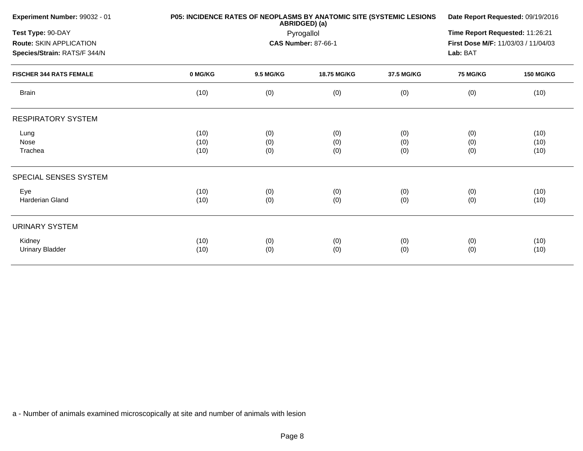| Experiment Number: 99032 - 01  |         | P05: INCIDENCE RATES OF NEOPLASMS BY ANATOMIC SITE (SYSTEMIC LESIONS<br>ABRIDGED) (a)<br>Pyrogallol |                            |            |                                     |                  |
|--------------------------------|---------|-----------------------------------------------------------------------------------------------------|----------------------------|------------|-------------------------------------|------------------|
| Test Type: 90-DAY              |         |                                                                                                     |                            |            |                                     |                  |
| Route: SKIN APPLICATION        |         |                                                                                                     | <b>CAS Number: 87-66-1</b> |            | First Dose M/F: 11/03/03 / 11/04/03 |                  |
| Species/Strain: RATS/F 344/N   |         |                                                                                                     |                            |            | Lab: BAT                            |                  |
| <b>FISCHER 344 RATS FEMALE</b> | 0 MG/KG | 9.5 MG/KG                                                                                           | 18.75 MG/KG                | 37.5 MG/KG | <b>75 MG/KG</b>                     | <b>150 MG/KG</b> |
| <b>Brain</b>                   | (10)    | (0)                                                                                                 | (0)                        | (0)        | (0)                                 | (10)             |
| <b>RESPIRATORY SYSTEM</b>      |         |                                                                                                     |                            |            |                                     |                  |
| Lung                           | (10)    | (0)                                                                                                 | (0)                        | (0)        | (0)                                 | (10)             |
| Nose                           | (10)    | (0)                                                                                                 | (0)                        | (0)        | (0)                                 | (10)             |
| Trachea                        | (10)    | (0)                                                                                                 | (0)                        | (0)        | (0)                                 | (10)             |
| SPECIAL SENSES SYSTEM          |         |                                                                                                     |                            |            |                                     |                  |
| Eye                            | (10)    | (0)                                                                                                 | (0)                        | (0)        | (0)                                 | (10)             |
| Harderian Gland                | (10)    | (0)                                                                                                 | (0)                        | (0)        | (0)                                 | (10)             |
| <b>URINARY SYSTEM</b>          |         |                                                                                                     |                            |            |                                     |                  |
| Kidney                         | (10)    | (0)                                                                                                 | (0)                        | (0)        | (0)                                 | (10)             |
| <b>Urinary Bladder</b>         | (10)    | (0)                                                                                                 | (0)                        | (0)        | (0)                                 | (10)             |
|                                |         |                                                                                                     |                            |            |                                     |                  |